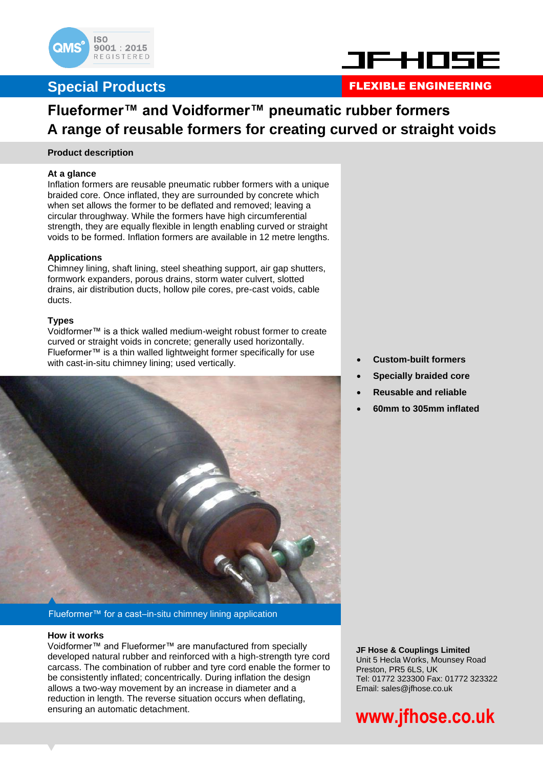



### **Special Products FLEXIBLE ENGINEERING**

# **Flueformer™ and Voidformer™ pneumatic rubber formers A range of reusable formers for creating curved or straight voids**

### **Product description**

### **At a glance**

Inflation formers are reusable pneumatic rubber formers with a unique braided core. Once inflated, they are surrounded by concrete which when set allows the former to be deflated and removed; leaving a circular throughway. While the formers have high circumferential strength, they are equally flexible in length enabling curved or straight voids to be formed. Inflation formers are available in 12 metre lengths.

### **Applications**

Chimney lining, shaft lining, steel sheathing support, air gap shutters, formwork expanders, porous drains, storm water culvert, slotted drains, air distribution ducts, hollow pile cores, pre-cast voids, cable ducts.

### **Types**

Voidformer™ is a thick walled medium-weight robust former to create curved or straight voids in concrete; generally used horizontally. Flueformer™ is a thin walled lightweight former specifically for use with cast-in-situ chimney lining; used vertically.



Flueformer™ for a cast–in-situ chimney lining application

### **How it works**

Voidformer™ and Flueformer™ are manufactured from specially developed natural rubber and reinforced with a high-strength tyre cord carcass. The combination of rubber and tyre cord enable the former to be consistently inflated; concentrically. During inflation the design allows a two-way movement by an increase in diameter and a reduction in length. The reverse situation occurs when deflating, ensuring an automatic detachment.

**Custom-built formers**

- **Specially braided core**
- **Reusable and reliable**
- **60mm to 305mm inflated**

**JF Hose & Couplings Limited** Unit 5 Hecla Works, Mounsey Road Preston, PR5 6LS, UK Tel: 01772 323300 Fax: 01772 323322 Email: sales@jfhose.co.uk

# **www.jfhose.co.uk**